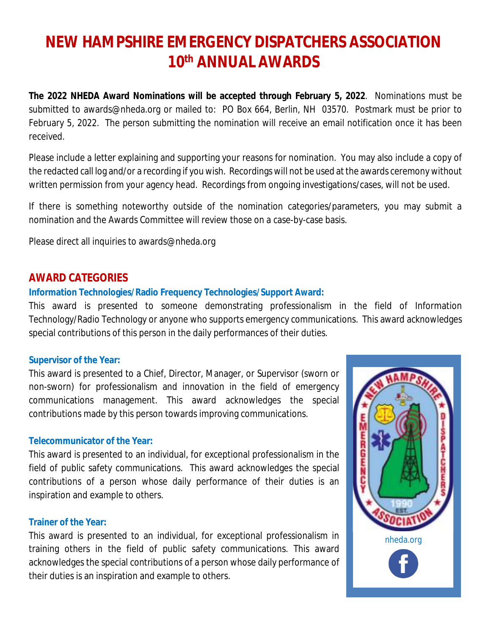# **NEW HAMPSHIRE EMERGENCY DISPATCHERS ASSOCIATION 10th ANNUAL AWARDS**

**The 2022 NHEDA Award Nominations will be accepted through February 5, 2022**. Nominations must be submitted to [awards@nheda.org](mailto:awards@nheda.org) or mailed to: PO Box 664, Berlin, NH 03570. Postmark must be prior to February 5, 2022. The person submitting the nomination will receive an email notification once it has been received.

Please include a letter explaining and supporting your reasons for nomination. You may also include a copy of the redacted call log and/or a recording if you wish. Recordings will not be used at the awards ceremony without written permission from your agency head. Recordings from ongoing investigations/cases, will not be used.

If there is something noteworthy outside of the nomination categories/parameters, you may submit a nomination and the Awards Committee will review those on a case-by-case basis.

Please direct all inquiries to [awards@nheda.org](mailto:awards@nheda.org)

### **AWARD CATEGORIES**

#### **Information Technologies/Radio Frequency Technologies/Support Award:**

This award is presented to someone demonstrating professionalism in the field of Information Technology/Radio Technology or anyone who supports emergency communications. This award acknowledges special contributions of this person in the daily performances of their duties.

#### **Supervisor of the Year:**

This award is presented to a Chief, Director, Manager, or Supervisor (sworn or non-sworn) for professionalism and innovation in the field of emergency communications management. This award acknowledges the special contributions made by this person towards improving communications.

#### **Telecommunicator of the Year:**

This award is presented to an individual, for exceptional professionalism in the field of public safety communications. This award acknowledges the special contributions of a person whose daily performance of their duties is an inspiration and example to others.

#### **Trainer of the Year:**

This award is presented to an individual, for exceptional professionalism in training others in the field of public safety communications. This award acknowledges the special contributions of a person whose daily performance of their duties is an inspiration and example to others.